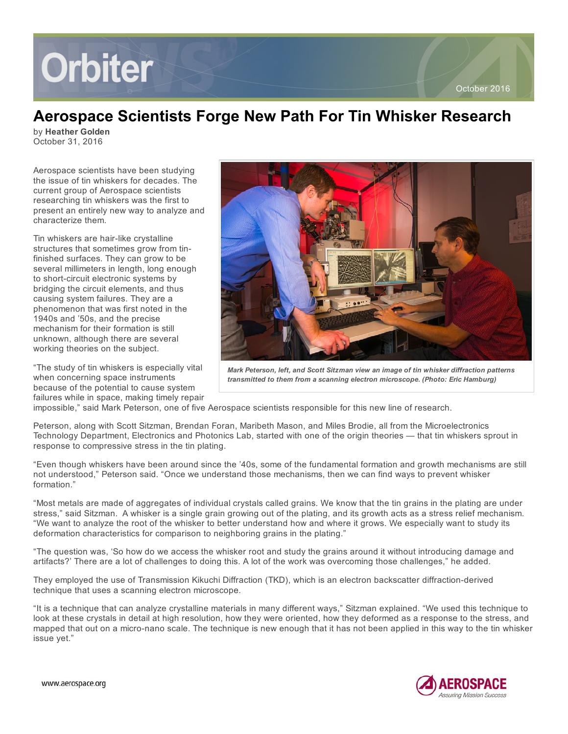# **Orbiter**

## Aerospace Scientists Forge New Path For Tin Whisker Research

by Heather Golden October 31, 2016

Aerospace scientists have been studying the issue of tin whiskers for decades. The current group of Aerospace scientists researching tin whiskers was the first to present an entirely new way to analyze and characterize them.

Tin whiskers are hair-like crystalline structures that sometimes grow from tinfinished surfaces. They can grow to be several millimeters in length, long enough to short-circuit electronic systems by bridging the circuit elements, and thus causing system failures. They are a phenomenon that was first noted in the 1940s and '50s, and the precise mechanism for their formation is still unknown, although there are several working theories on the subject.

"The study of tin whiskers is especially vital when concerning space instruments because of the potential to cause system failures while in space, making timely repair



*Mark Peterson, left, and Scott Sitzman view an image of tin whisker diffraction patterns transmitted to them from a scanning electron microscope. (Photo: Eric Hamburg)*

impossible," said Mark Peterson, one of five Aerospace scientists responsible for this new line of research.

Peterson, along with Scott Sitzman, Brendan Foran, Maribeth Mason, and Miles Brodie, all from the Microelectronics Technology Department, Electronics and Photonics Lab, started with one of the origin theories — that tin whiskers sprout in response to compressive stress in the tin plating.

"Even though whiskers have been around since the '40s, some of the fundamental formation and growth mechanisms are still not understood," Peterson said. "Once we understand those mechanisms, then we can find ways to prevent whisker formation."

"Most metals are made of aggregates of individual crystals called grains. We know that the tin grains in the plating are under stress," said Sitzman. A whisker is a single grain growing out of the plating, and its growth acts as a stress relief mechanism. "We want to analyze the root of the whisker to better understand how and where it grows. We especially want to study its deformation characteristics for comparison to neighboring grains in the plating."

"The question was, 'So how do we access the whisker root and study the grains around it without introducing damage and artifacts?' There are a lot of challenges to doing this. A lot of the work was overcoming those challenges," he added.

They employed the use of Transmission Kikuchi Diffraction (TKD), which is an electron backscatter diffraction-derived technique that uses a scanning electron microscope.

"It is a technique that can analyze crystalline materials in many different ways," Sitzman explained. "We used this technique to look at these crystals in detail at high resolution, how they were oriented, how they deformed as a response to the stress, and mapped that out on a micro-nano scale. The technique is new enough that it has not been applied in this way to the tin whisker issue yet."

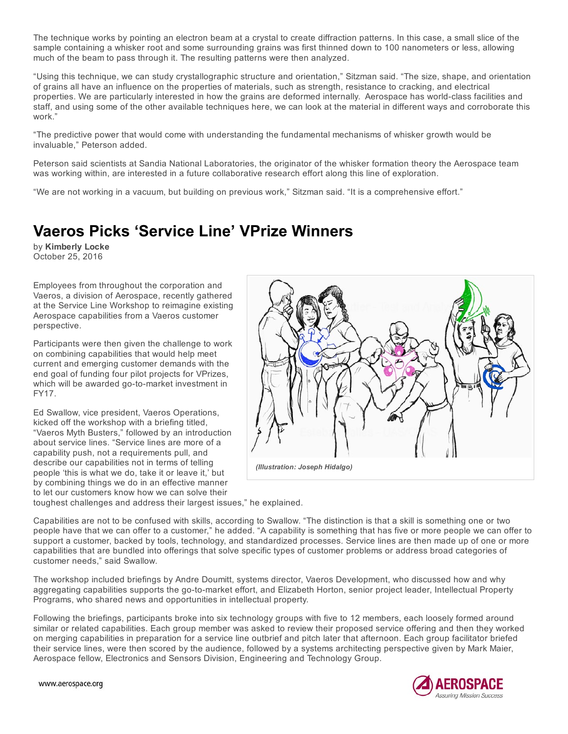The technique works by pointing an electron beam at a crystal to create diffraction patterns. In this case, a small slice of the sample containing a whisker root and some surrounding grains was first thinned down to 100 nanometers or less, allowing much of the beam to pass through it. The resulting patterns were then analyzed.

"Using this technique, we can study crystallographic structure and orientation," Sitzman said. "The size, shape, and orientation of grains all have an influence on the properties of materials, such as strength, resistance to cracking, and electrical properties. We are particularly interested in how the grains are deformed internally. Aerospace has world-class facilities and staff, and using some of the other available techniques here, we can look at the material in different ways and corroborate this work."

"The predictive power that would come with understanding the fundamental mechanisms of whisker growth would be invaluable," Peterson added.

Peterson said scientists at Sandia National Laboratories, the originator of the whisker formation theory the Aerospace team was working within, are interested in a future collaborative research effort along this line of exploration.

"We are not working in a vacuum, but building on previous work," Sitzman said. "It is a comprehensive effort."

# Vaeros Picks 'Service Line' VPrize Winners

by Kimberly Locke October 25, 2016

Employees from throughout the corporation and Vaeros, a division of Aerospace, recently gathered at the Service Line Workshop to reimagine existing Aerospace capabilities from a Vaeros customer perspective.

Participants were then given the challenge to work on combining capabilities that would help meet current and emerging customer demands with the end goal of funding four pilot projects for VPrizes, which will be awarded go-to-market investment in FY17.

Ed Swallow, vice president, Vaeros Operations, kicked off the workshop with a briefing titled, "Vaeros Myth Busters," followed by an introduction about service lines. "Service lines are more of a capability push, not a requirements pull, and describe our capabilities not in terms of telling people 'this is what we do, take it or leave it,' but by combining things we do in an effective manner to let our customers know how we can solve their



toughest challenges and address their largest issues," he explained.

Capabilities are not to be confused with skills, according to Swallow. "The distinction is that a skill is something one or two people have that we can offer to a customer," he added. "A capability is something that has five or more people we can offer to support a customer, backed by tools, technology, and standardized processes. Service lines are then made up of one or more capabilities that are bundled into offerings that solve specific types of customer problems or address broad categories of customer needs," said Swallow.

The workshop included briefings by Andre Doumitt, systems director, Vaeros Development, who discussed how and why aggregating capabilities supports the go-to-market effort, and Elizabeth Horton, senior project leader, Intellectual Property Programs, who shared news and opportunities in intellectual property.

Following the briefings, participants broke into six technology groups with five to 12 members, each loosely formed around similar or related capabilities. Each group member was asked to review their proposed service offering and then they worked on merging capabilities in preparation for a service line outbrief and pitch later that afternoon. Each group facilitator briefed their service lines, were then scored by the audience, followed by a systems architecting perspective given by Mark Maier, Aerospace fellow, Electronics and Sensors Division, Engineering and Technology Group.



www.aerospace.org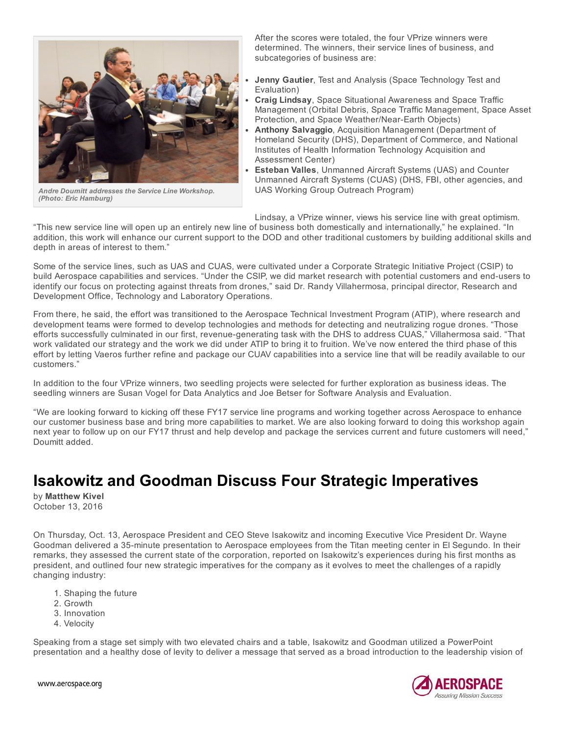

*Andre Doumitt addresses the Service Line Workshop. (Photo: Eric Hamburg)*

After the scores were totaled, the four VPrize winners were determined. The winners, their service lines of business, and subcategories of business are:

- Jenny Gautier, Test and Analysis (Space Technology Test and Evaluation)
- Craig Lindsay, Space Situational Awareness and Space Traffic Management (Orbital Debris, Space Traffic Management, Space Asset Protection, and Space Weather/Near-Earth Objects)
- Anthony Salvaggio, Acquisition Management (Department of Homeland Security (DHS), Department of Commerce, and National Institutes of Health Information Technology Acquisition and Assessment Center)
- Esteban Valles, Unmanned Aircraft Systems (UAS) and Counter Unmanned Aircraft Systems (CUAS) (DHS, FBI, other agencies, and UAS Working Group Outreach Program)

Lindsay, a VPrize winner, views his service line with great optimism.

"This new service line will open up an entirely new line of business both domestically and internationally," he explained. "In addition, this work will enhance our current support to the DOD and other traditional customers by building additional skills and depth in areas of interest to them."

Some of the service lines, such as UAS and CUAS, were cultivated under a Corporate Strategic Initiative Project (CSIP) to build Aerospace capabilities and services. "Under the CSIP, we did market research with potential customers and end-users to identify our focus on protecting against threats from drones," said Dr. Randy Villahermosa, principal director, Research and Development Office, Technology and Laboratory Operations.

From there, he said, the effort was transitioned to the Aerospace Technical Investment Program (ATIP), where research and development teams were formed to develop technologies and methods for detecting and neutralizing rogue drones. "Those efforts successfully culminated in our first, revenue-generating task with the DHS to address CUAS," Villahermosa said. "That work validated our strategy and the work we did under ATIP to bring it to fruition. We've now entered the third phase of this effort by letting Vaeros further refine and package our CUAV capabilities into a service line that will be readily available to our customers."

In addition to the four VPrize winners, two seedling projects were selected for further exploration as business ideas. The seedling winners are Susan Vogel for Data Analytics and Joe Betser for Software Analysis and Evaluation.

"We are looking forward to kicking off these FY17 service line programs and working together across Aerospace to enhance our customer business base and bring more capabilities to market. We are also looking forward to doing this workshop again next year to follow up on our FY17 thrust and help develop and package the services current and future customers will need," Doumitt added.

## Isakowitz and Goodman Discuss Four Strategic Imperatives

by Matthew Kivel October 13, 2016

On Thursday, Oct. 13, Aerospace President and CEO Steve Isakowitz and incoming Executive Vice President Dr. Wayne Goodman delivered a 35-minute presentation to Aerospace employees from the Titan meeting center in El Segundo. In their remarks, they assessed the current state of the corporation, reported on Isakowitz's experiences during his first months as president, and outlined four new strategic imperatives for the company as it evolves to meet the challenges of a rapidly changing industry:

- 1. Shaping the future
- 2. Growth
- 3. Innovation
- 4. Velocity

Speaking from a stage set simply with two elevated chairs and a table, Isakowitz and Goodman utilized a PowerPoint presentation and a healthy dose of levity to deliver a message that served as a broad introduction to the leadership vision of



www.aerospace.org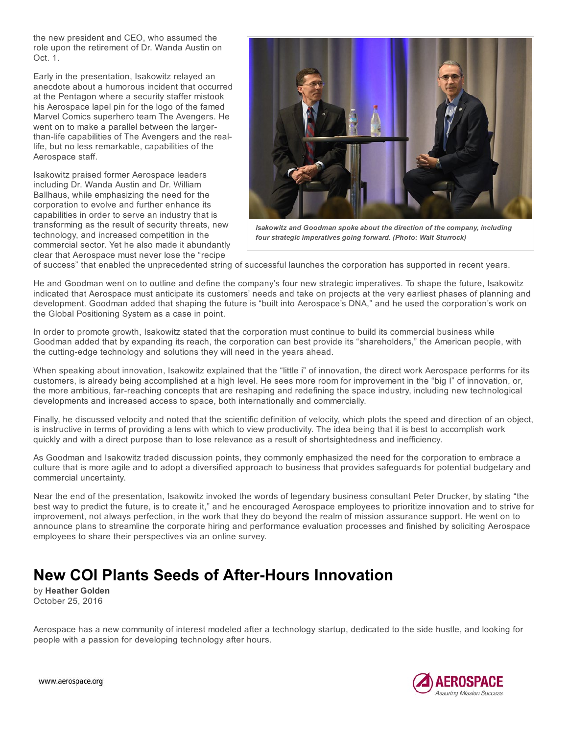the new president and CEO, who assumed the role upon the retirement of Dr. Wanda Austin on Oct. 1.

Early in the presentation, Isakowitz relayed an anecdote about a humorous incident that occurred at the Pentagon where a security staffer mistook his Aerospace lapel pin for the logo of the famed Marvel Comics superhero team The Avengers. He went on to make a parallel between the largerthan-life capabilities of The Avengers and the reallife, but no less remarkable, capabilities of the Aerospace staff.

Isakowitz praised former Aerospace leaders including Dr. Wanda Austin and Dr. William Ballhaus, while emphasizing the need for the corporation to evolve and further enhance its capabilities in order to serve an industry that is transforming as the result of security threats, new technology, and increased competition in the commercial sector. Yet he also made it abundantly clear that Aerospace must never lose the "recipe



*Isakowitz and Goodman spoke about the direction of the company, including four strategic imperatives going forward. (Photo: Walt Sturrock)*

of success" that enabled the unprecedented string of successful launches the corporation has supported in recent years.

He and Goodman went on to outline and define the company's four new strategic imperatives. To shape the future, Isakowitz indicated that Aerospace must anticipate its customers' needs and take on projects at the very earliest phases of planning and development. Goodman added that shaping the future is "built into Aerospace's DNA," and he used the corporation's work on the Global Positioning System as a case in point.

In order to promote growth, Isakowitz stated that the corporation must continue to build its commercial business while Goodman added that by expanding its reach, the corporation can best provide its "shareholders," the American people, with the cutting-edge technology and solutions they will need in the years ahead.

When speaking about innovation, Isakowitz explained that the "little i" of innovation, the direct work Aerospace performs for its customers, is already being accomplished at a high level. He sees more room for improvement in the "big I" of innovation, or, the more ambitious, farreaching concepts that are reshaping and redefining the space industry, including new technological developments and increased access to space, both internationally and commercially.

Finally, he discussed velocity and noted that the scientific definition of velocity, which plots the speed and direction of an object, is instructive in terms of providing a lens with which to view productivity. The idea being that it is best to accomplish work quickly and with a direct purpose than to lose relevance as a result of shortsightedness and inefficiency.

As Goodman and Isakowitz traded discussion points, they commonly emphasized the need for the corporation to embrace a culture that is more agile and to adopt a diversified approach to business that provides safeguards for potential budgetary and commercial uncertainty.

Near the end of the presentation, Isakowitz invoked the words of legendary business consultant Peter Drucker, by stating "the best way to predict the future, is to create it," and he encouraged Aerospace employees to prioritize innovation and to strive for improvement, not always perfection, in the work that they do beyond the realm of mission assurance support. He went on to announce plans to streamline the corporate hiring and performance evaluation processes and finished by soliciting Aerospace employees to share their perspectives via an online survey.

## New COI Plants Seeds of After-Hours Innovation

by Heather Golden October 25, 2016

Aerospace has a new community of interest modeled after a technology startup, dedicated to the side hustle, and looking for people with a passion for developing technology after hours.

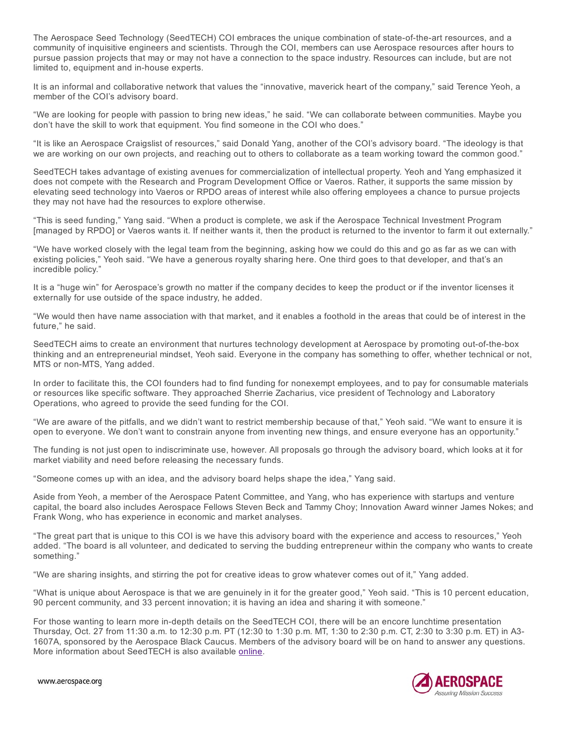The Aerospace Seed Technology (SeedTECH) COI embraces the unique combination of state-of-the-art resources, and a community of inquisitive engineers and scientists. Through the COI, members can use Aerospace resources after hours to pursue passion projects that may or may not have a connection to the space industry. Resources can include, but are not limited to, equipment and in-house experts.

It is an informal and collaborative network that values the "innovative, maverick heart of the company," said Terence Yeoh, a member of the COI's advisory board.

"We are looking for people with passion to bring new ideas," he said. "We can collaborate between communities. Maybe you don't have the skill to work that equipment. You find someone in the COI who does."

"It is like an Aerospace Craigslist of resources," said Donald Yang, another of the COI's advisory board. "The ideology is that we are working on our own projects, and reaching out to others to collaborate as a team working toward the common good."

SeedTECH takes advantage of existing avenues for commercialization of intellectual property. Yeoh and Yang emphasized it does not compete with the Research and Program Development Office or Vaeros. Rather, it supports the same mission by elevating seed technology into Vaeros or RPDO areas of interest while also offering employees a chance to pursue projects they may not have had the resources to explore otherwise.

"This is seed funding," Yang said. "When a product is complete, we ask if the Aerospace Technical Investment Program [managed by RPDO] or Vaeros wants it. If neither wants it, then the product is returned to the inventor to farm it out externally."

"We have worked closely with the legal team from the beginning, asking how we could do this and go as far as we can with existing policies," Yeoh said. "We have a generous royalty sharing here. One third goes to that developer, and that's an incredible policy."

It is a "huge win" for Aerospace's growth no matter if the company decides to keep the product or if the inventor licenses it externally for use outside of the space industry, he added.

"We would then have name association with that market, and it enables a foothold in the areas that could be of interest in the future," he said.

SeedTECH aims to create an environment that nurtures technology development at Aerospace by promoting out-of-the-box thinking and an entrepreneurial mindset, Yeoh said. Everyone in the company has something to offer, whether technical or not, MTS or non-MTS, Yang added.

In order to facilitate this, the COI founders had to find funding for nonexempt employees, and to pay for consumable materials or resources like specific software. They approached Sherrie Zacharius, vice president of Technology and Laboratory Operations, who agreed to provide the seed funding for the COI.

"We are aware of the pitfalls, and we didn't want to restrict membership because of that," Yeoh said. "We want to ensure it is open to everyone. We don't want to constrain anyone from inventing new things, and ensure everyone has an opportunity."

The funding is not just open to indiscriminate use, however. All proposals go through the advisory board, which looks at it for market viability and need before releasing the necessary funds.

"Someone comes up with an idea, and the advisory board helps shape the idea," Yang said.

Aside from Yeoh, a member of the Aerospace Patent Committee, and Yang, who has experience with startups and venture capital, the board also includes Aerospace Fellows Steven Beck and Tammy Choy; Innovation Award winner James Nokes; and Frank Wong, who has experience in economic and market analyses.

"The great part that is unique to this COI is we have this advisory board with the experience and access to resources," Yeoh added. "The board is all volunteer, and dedicated to serving the budding entrepreneur within the company who wants to create something."

"We are sharing insights, and stirring the pot for creative ideas to grow whatever comes out of it," Yang added.

"What is unique about Aerospace is that we are genuinely in it for the greater good," Yeoh said. "This is 10 percent education, 90 percent community, and 33 percent innovation; it is having an idea and sharing it with someone."

For those wanting to learn more in-depth details on the SeedTECH COI, there will be an encore lunchtime presentation Thursday, Oct. 27 from 11:30 a.m. to 12:30 p.m. PT (12:30 to 1:30 p.m. MT, 1:30 to 2:30 p.m. CT, 2:30 to 3:30 p.m. ET) in A3 1607A, sponsored by the Aerospace Black Caucus. Members of the advisory board will be on hand to answer any questions. More information about SeedTECH is also available online.



www.aerospace.org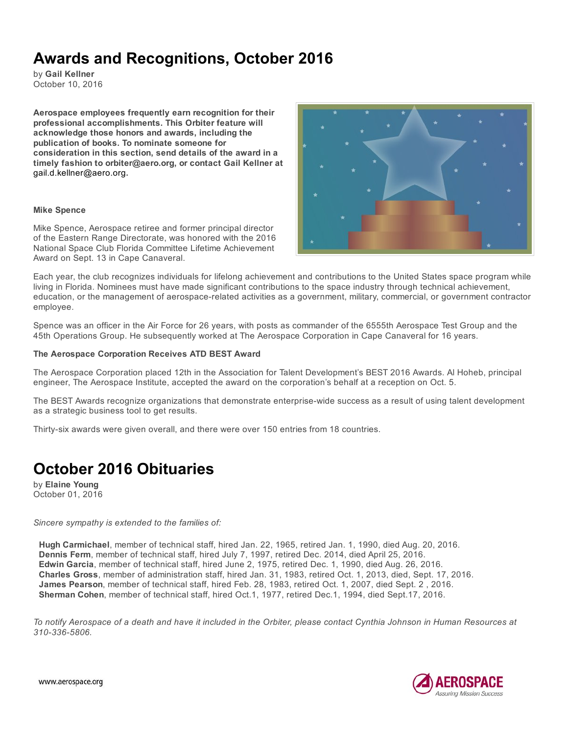# Awards and Recognitions, October 2016

by Gail Kellner October 10, 2016

Aerospace employees frequently earn recognition for their professional accomplishments. This Orbiter feature will acknowledge those honors and awards, including the publication of books. To nominate someone for consideration in this section, send details of the award in a timely fashion to orbiter@aero.org, or contact Gail Kellner at gail.d.kellner@aero.org.

#### Mike Spence

Mike Spence, Aerospace retiree and former principal director of the Eastern Range Directorate, was honored with the 2016 National Space Club Florida Committee Lifetime Achievement Award on Sept. 13 in Cape Canaveral.



Each year, the club recognizes individuals for lifelong achievement and contributions to the United States space program while living in Florida. Nominees must have made significant contributions to the space industry through technical achievement, education, or the management of aerospace-related activities as a government, military, commercial, or government contractor employee.

Spence was an officer in the Air Force for 26 years, with posts as commander of the 6555th Aerospace Test Group and the 45th Operations Group. He subsequently worked at The Aerospace Corporation in Cape Canaveral for 16 years.

#### The Aerospace Corporation Receives ATD BEST Award

The Aerospace Corporation placed 12th in the Association for Talent Development's BEST 2016 Awards. Al Hoheb, principal engineer, The Aerospace Institute, accepted the award on the corporation's behalf at a reception on Oct. 5.

The BEST Awards recognize organizations that demonstrate enterprise-wide success as a result of using talent development as a strategic business tool to get results.

Thirty-six awards were given overall, and there were over 150 entries from 18 countries.

## October 2016 Obituaries

by Elaine Young October 01, 2016

#### *Sincere sympathy is extended to the families of:*

Hugh Carmichael, member of technical staff, hired Jan. 22, 1965, retired Jan. 1, 1990, died Aug. 20, 2016. Dennis Ferm, member of technical staff, hired July 7, 1997, retired Dec. 2014, died April 25, 2016. Edwin Garcia, member of technical staff, hired June 2, 1975, retired Dec. 1, 1990, died Aug. 26, 2016. Charles Gross, member of administration staff, hired Jan. 31, 1983, retired Oct. 1, 2013, died, Sept. 17, 2016. James Pearson, member of technical staff, hired Feb. 28, 1983, retired Oct. 1, 2007, died Sept. 2 , 2016. Sherman Cohen, member of technical staff, hired Oct.1, 1977, retired Dec.1, 1994, died Sept.17, 2016.

To notify Aerospace of a death and have it included in the Orbiter, please contact Cynthia Johnson in Human Resources at *3103365806.*

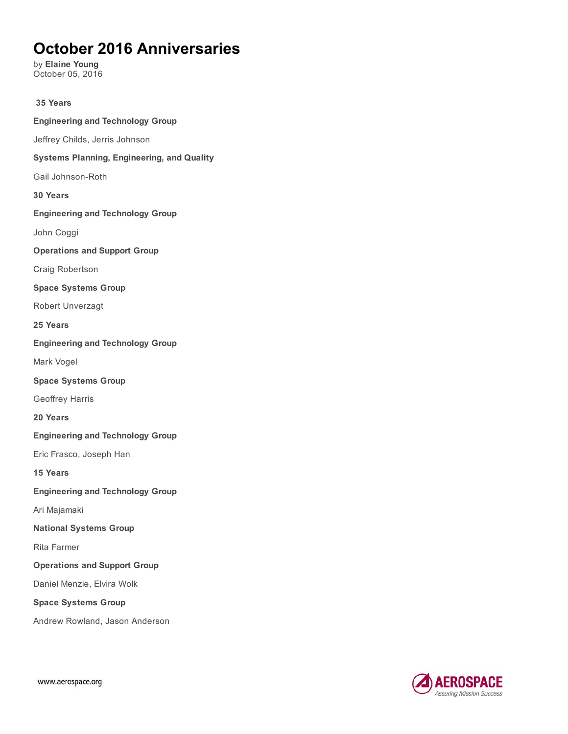# October 2016 Anniversaries

by Elaine Young October 05, 2016

35 Years Engineering and Technology Group Jeffrey Childs, Jerris Johnson Systems Planning, Engineering, and Quality Gail Johnson-Roth 30 Years Engineering and Technology Group John Coggi Operations and Support Group Craig Robertson Space Systems Group Robert Unverzagt 25 Years Engineering and Technology Group Mark Vogel Space Systems Group Geoffrey Harris 20 Years Engineering and Technology Group Eric Frasco, Joseph Han 15 Years Engineering and Technology Group Ari Majamaki National Systems Group Rita Farmer Operations and Support Group Daniel Menzie, Elvira Wolk Space Systems Group Andrew Rowland, Jason Anderson

AEROSPACE Assuring Mission Success